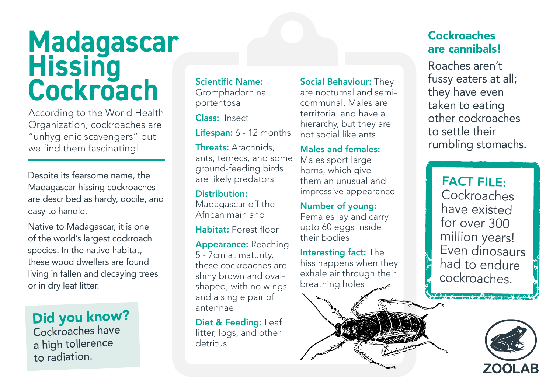## **Madagascar Hissing Cockroach**

According to the World Health Organization, cockroaches are "unhygienic scavengers" but we find them fascinating!

Despite its fearsome name, the Madagascar hissing cockroaches are described as hardy, docile, and easy to handle.

Native to Madagascar, it is one of the world's largest cockroach species. In the native habitat, these wood dwellers are found living in fallen and decaying trees or in dry leaf litter.

Did you know? Cockroaches have a high tollerence to radiation.

### Scientific Name:

Gromphadorhina portentosa

Class: Insect

Lifespan: 6 - 12 months

Threats: Arachnids, ants, tenrecs, and some ground-feeding birds are likely predators

Distribution: Madagascar off the African mainland

Habitat: Forest floor

Appearance: Reaching 5 - 7cm at maturity, these cockroaches are shiny brown and ovalshaped, with no wings and a single pair of antennae

Diet & Feeding: Leaf litter, logs, and other detritus

Social Behaviour: They are nocturnal and semicommunal. Males are territorial and have a hierarchy, but they are not social like ants

Males and females: Males sport large horns, which give them an unusual and impressive appearance

Number of young: Females lay and carry upto 60 eggs inside their bodies

Interesting fact: The hiss happens when they exhale air through their breathing holes



#### Cockroaches are cannibals!

Roaches aren't fussy eaters at all; they have even taken to eating other cockroaches to settle their rumbling stomachs.

FACT FILE: Cockroaches have existed for over 300 million years! Even dinosaurs had to endure cockroaches.

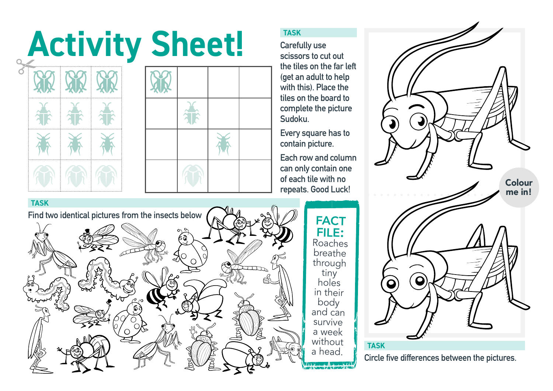# Activity Sheet!





**Carefully use scissors to cut out the tiles on the far left (get an adult to help with this). Place the tiles on the board to complete the picture Sudoku.**

**Every square has to contain picture.**

**Each row and column can only contain one of each tile with no repeats. Good Luck!**

tiny



**Circle five differences between the pictures.**